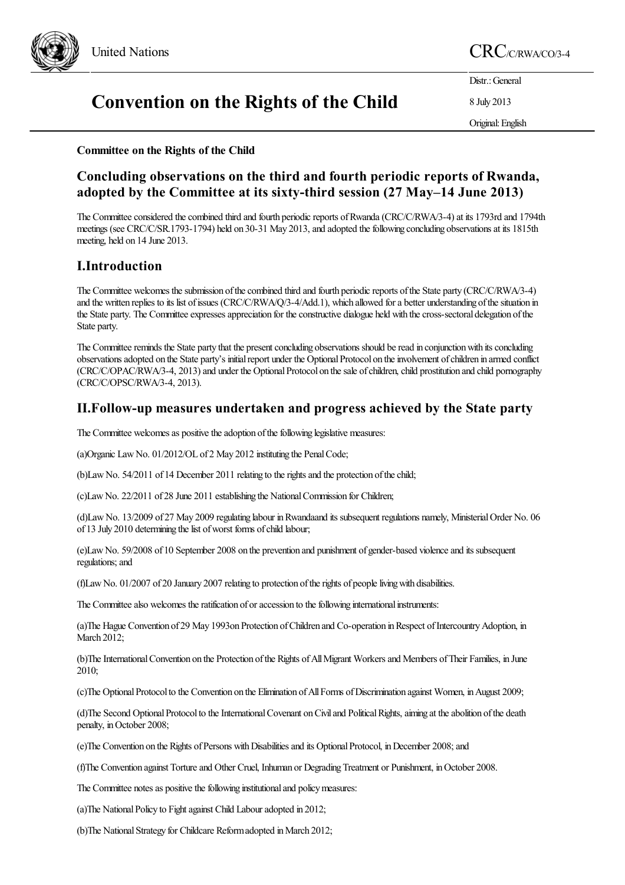

# United Nations  $\mathrm{CRC}_{\text{/C/RWA/CO/3-4}}$

# **Convention on the Rights of the Child**

Distr.: General

8 July 2013

Original:English

## **Committee on the Rights of the Child**

# **Concluding observations on the third and fourth periodic reports of Rwanda, adopted by the Committee at its sixty-third session (27 May–14 June 2013)**

The Committee considered the combined third and fourth periodic reports of Rwanda (CRC/C/RWA/3-4) at its 1793rd and 1794th meetings (see CRC/C/SR.1793-1794) held on 30-31 May 2013, and adopted the following concluding observations at its 1815th meeting, held on 14 June 2013.

# **I.Introduction**

The Committee welcomes the submission of the combined third and fourth periodic reports of the State party (CRC/C/RWA/3-4) and the written replies to its list of issues (CRC/C/RWA/Q/3-4/Add.1), which allowed for a better understanding of the situation in the State party. The Committee expresses appreciation for the constructive dialogue held with the cross-sectoral delegation of the State party.

The Committee reminds the State party that the present concluding observations should be read in conjunction with its concluding observations adopted on the State party's initial report under the Optional Protocol on the involvement of children in armed conflict (CRC/C/OPAC/RWA/3-4, 2013) and under the Optional Protocol on the sale of children, child prostitution and child pornography (CRC/C/OPSC/RWA/3-4, 2013).

## **II.Follow-up measures undertaken and progress achieved by the State party**

The Committee welcomes as positive the adoption of the following legislative measures:

(a)Organic LawNo. 01/2012/OL of 2 May 2012 instituting the PenalCode;

(b)Law No. 54/2011 of 14 December 2011 relating to the rights and the protection of the child;

(c)LawNo. 22/2011 of 28 June 2011 establishing the NationalCommission for Children;

(d)LawNo. 13/2009 of 27 May 2009 regulating labour inRwandaand its subsequent regulations namely, MinisterialOrder No. 06 of 13 July 2010 determining the list of worst forms of child labour;

(e)LawNo. 59/2008 of 10 September 2008 on the prevention and punishment of gender-based violenceand its subsequent regulations; and

(f)LawNo. 01/2007 of 20 January 2007 relating to protection oftherights of peoplelivingwith disabilities.

The Committee also welcomes the ratification of or accession to the following international instruments:

(a)The Hague Convention of 29 May 1993on Protection ofChildren and Co-operation inRespect ofIntercountryAdoption, in March 2012:

(b)The International Convention on the Protection of the Rights of All Migrant Workers and Members of Their Families, in June 2010;

(c)The Optional Protocol to the Convention on the Elimination of All Forms of Discrimination against Women, in August 2009;

(d)The Second Optional Protocol to the International Covenant on Civil and Political Rights, aiming at the abolition of the death penalty, in October 2008;

(e)The Convention on the Rights of Persons with Disabilities and its Optional Protocol, in December 2008; and

(f)The Convention against Tortureand Other Cruel, Inhuman or DegradingTreatment or Punishment, inOctober 2008.

The Committee notes as positive the following institutional and policy measures:

(a)The National Policy to Fight against Child Labour adopted in 2012;

(b) The National Strategy for Childcare Reform adopted in March 2012;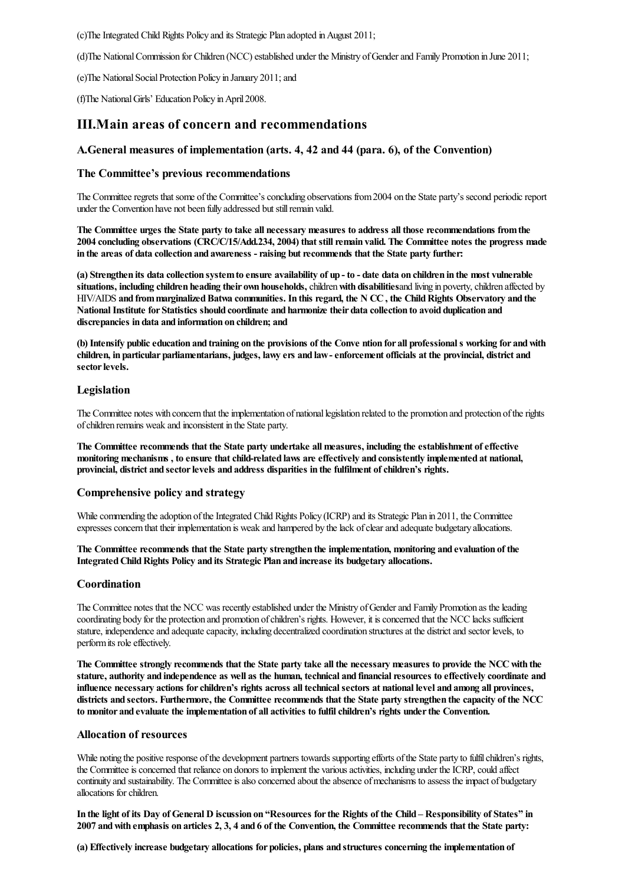(c)The Integrated Child Rights Policy and its Strategic Plan adopted in August 2011;

(d)The National Commission for Children (NCC) established under the Ministry of Gender and Family Promotion in June 2011;

(e)The National Social Protection Policy in January 2011; and

(f)The National Girls' Education Policy in April 2008.

## **III.Main areas of concern and recommendations**

## **A.General measures of implementation (arts. 4, 42 and 44 (para. 6), of the Convention)**

## **The Committee's previous recommendations**

The Committee regrets that some of the Committee's concluding observations from 2004 on the State party's second periodic report under the Convention have not been fully addressed but still remain valid.

The Committee urges the State party to take all necessary measures to address all those recommendations from the **2004 concluding observations (CRC/C/15/Add.234, 2004) that stillremain valid. The Committee notes the progress made in the areas of data collection and awareness -raising butrecommends that the State party further:**

(a) Strengthen its data collection system to ensure availability of up - to - date data on children in the most vulnerable **situations, including children heading their own households,**children**with disabilities**and living in poverty,children affected by HIV/AIDS **and frommarginalizedBatwa communities. In this regard, the N CC, the ChildRights Observatory and the NationalInstitute for Statistics should coordinate and harmonize their data collection to avoid duplication and discrepancies in data and information on children; and**

(b) Intensify public education and training on the provisions of the Convention for all professional s working for and with children, in particular parliamentarians, judges, lawy ers and law-enforcement officials at the provincial, district and sector levels.

#### **Legislation**

The Committee notes with concern that the implementation of national legislation related to the promotion and protection of the rights ofchildren remains weak and inconsistent in the State party.

**The Committee recommends that the State party undertake all measures, including the establishment ofeffective monitoring mechanisms , to ensure thatchild-related laws are effectively and consistently implemented at national, provincial, district and sectorlevels and address disparities in the fulfilment ofchildren's rights.**

#### **Comprehensive policy and strategy**

While commending the adoption of the Integrated Child Rights Policy (ICRP) and its Strategic Plan in 2011, the Committee expresses concern that their implementation is weak and hampered by the lack of clear and adequate budgetary allocations.

**The Committee recommends that the State party strengthen the implementation, monitoring and evaluation of the IntegratedChildRights Policy and its Strategic Plan and increase its budgetary allocations.**

#### **Coordination**

The Committee notes that the NCC was recently established under the Ministry ofGenderand Family Promotion as theleading coordinating body for the protection and promotion ofchildren's rights. However, it isconcerned that the NCC lacks sufficient stature, independence and adequate capacity, including decentralized coordination structures at the district and sector levels, to perform its role effectively.

The Committee strongly recommends that the State party take all the necessary measures to provide the NCC with the stature, authority and independence as well as the human, technical and financial resources to effectively coordinate and **influence necessary actions forchildren's rights across all technicalsectors at national level and among all provinces,** districts and sectors. Furthermore, the Committee recommends that the State party strengthen the capacity of the NCC **to monitor and evaluate the implementation of all activities to fulfilchildren's rights underthe Convention.**

#### **Allocation of resources**

While noting the positive response of the development partners towards supporting efforts of the State party to fulfil children's rights, the Committee is concerned that reliance on donors to implement the various activities, including under the ICRP, could affect continuity and sustainability. The Committee is also concerned about the absence of mechanisms to assess the impact of budgetary allocations for children.

In the light of its Day of General D iscussion on "Resources for the Rights of the Child - Responsibility of States" in 2007 and with emphasis on articles 2, 3, 4 and 6 of the Convention, the Committee recommends that the State party:

**(a) Effectively increase budgetary allocations for policies, plans and structures concerning the implementation of**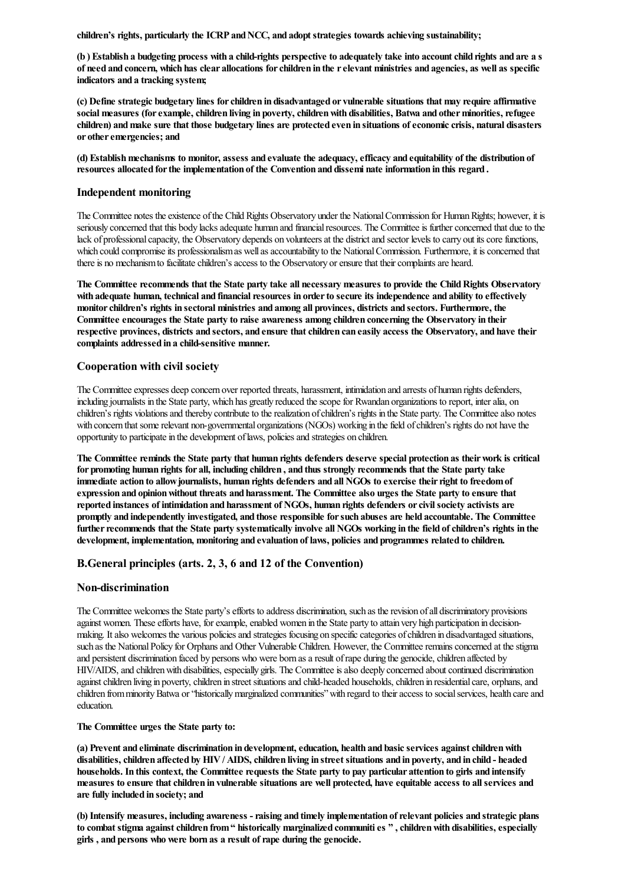**children's rights, particularly the ICRP andNCC, and adopt strategies towards achieving sustainability;**

(b) Establish a budgeting process with a child-rights perspective to adequately take into account child rights and are a s of need and concern, which has clear allocations for children in the r elevant ministries and agencies, as well as specific **indicators and a tracking system;**

**(c) Define strategic budgetary lines forchildren in disadvantaged or vulnerable situations that may require affirmative social measures (forexample,children living in poverty,childrenwith disabilities, Batwa and otherminorities,refugee children) andmake sure that those budgetary lines are protected even in situations ofeconomiccrisis, natural disasters**  $or$  other emergencies; and

**(d) Establishmechanisms to monitor, assess and evaluate the adequacy,efficacy and equitability of the distribution of resources allocated forthe implementation of the Convention and dissemi nate information in this regard .**

#### **Independent monitoring**

The Committee notes the existence of the Child Rights Observatory under the National Commission for Human Rights; however, it is seriously concerned that this body lacks adequate human and financial resources. The Committee is further concerned that due to the lack of professional capacity, the Observatory depends on volunteers at the district and sector levels to carry out its core functions, which could compromise its professionalism as well as accountability to the National Commission. Furthermore, it is concerned that there is no mechanism to facilitate children's access to the Observatory or ensure that their complaints are heard.

**The Committee recommends that the State party take all necessary measures to provide the ChildRights Observatory with adequate human, technical and financialresources in orderto secure its independence and ability to effectively monitorchildren's rights in sectoral ministries and among all provinces, districts and sectors. Furthermore, the Committee encourages the State party to raise awareness among children concerning the Observatory in their** respective provinces, districts and sectors, and ensure that children can easily access the Observatory, and have their **complaints addressed in a child-sensitive manner.**

#### **Cooperation with civil society**

The Committee expresses deep concern over reported threats, harassment, intimidation and arrests of human rights defenders, including journalists in the State party, which has greatly reduced the scope for Rwandan organizations to report, inter alia, on children's rights violations and thereby contribute to the realization of children's rights in the State party. The Committee also notes with concern that some relevant non-governmental organizations (NGOs) working in the field of children's rights do not have the opportunity to participate in the development of laws, policies and strategies on children.

The Committee reminds the State party that human rights defenders deserve special protection as their work is critical for promoting human rights for all, including children, and thus strongly recommends that the State party take **immediate action to allowjournalists, human rights defenders and all NGOs to exercise theirright to freedomof expression and opinionwithout threats and harassment. The Committee also urges the State party to ensure that reported instances of intimidation and harassment of NGOs, human rights defenders orcivilsociety activists are promptly and independently investigated, and those responsible forsuch abuses are held accountable. The Committee** further recommends that the State party systematically involve all NGOs working in the field of children's rights in the **development, implementation, monitoring and evaluation of laws, policies and programmes related to children.**

#### **B.General principles (arts. 2, 3, 6 and 12 of the Convention)**

#### **Non-discrimination**

The Committee welcomes the State party's efforts to address discrimination, such as the revision of all discriminatory provisions against women. These efforts have, for example, enabled women in the State party to attain very high participation in decisionmaking. It also welcomes the various policies and strategies focusing on specific categories of children in disadvantaged situations, such as the National Policy for Orphans and Other Vulnerable Children. However, the Committee remains concerned at the stigma and persistent discrimination faced by persons who were born as a result of rape during the genocide, children affected by HIV/AIDS, and children with disabilities, especially girls. The Committee is also deeply concerned about continued discrimination against children living in poverty, children in street situations and child-headed households, children in residential care, orphans, and children from minority Batwa or "historically marginalized communities" with regard to their access to social services, health care and education.

#### **The Committee urges the State party to:**

**(a) Prevent and eliminate discrimination in development,education, health and basicservices againstchildrenwith** disabilities, children affected by HIV / AIDS, children living in street situations and in poverty, and in child - headed households. In this context, the Committee requests the State party to pay particular attention to girls and intensify measures to ensure that children in vulnerable situations are well protected, have equitable access to all services and **are fully included in society; and**

**(b) Intensify measures, including awareness -raising and timely implementation ofrelevant policies and strategic plans to combat stigma againstchildren from" historically marginalized communities " ,childrenwith disabilities,especially girls , and persons who were born as a result ofrape during the genocide.**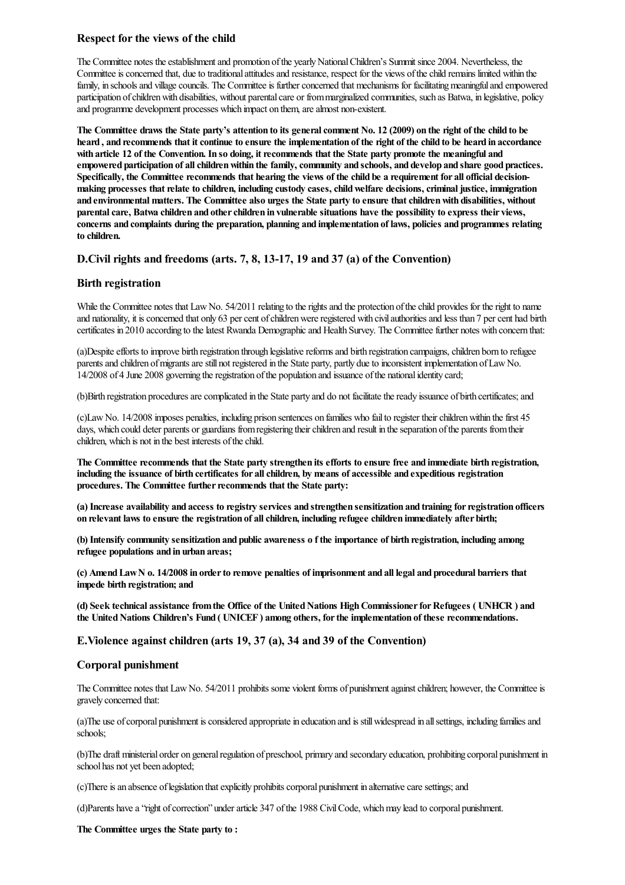## **Respect forthe views of the child**

The Committee notes the establishment and promotion of the yearly National Children's Summit since 2004. Nevertheless, the Committee is concerned that, due to traditional attitudes and resistance, respect for the views of the child remains limited within the family, in schools and village councils. The Committee is further concerned that mechanisms for facilitating meaningful and empowered participation of children with disabilities, without parental care or from marginalized communities, such as Batwa, in legislative, policy and programme development processes which impact on them, are almost non-existent.

The Committee draws the State party's attention to its general comment No. 12 (2009) on the right of the child to be heard, and recommends that it continue to ensure the implementation of the right of the child to be heard in accordance with article 12 of the Convention. In so doing, it recommends that the State party promote the meaningful and **empowered participation of allchildrenwithin the family,community and schools, and develop and share good practices.** Specifically, the Committee recommends that hearing the views of the child be a requirement for all official decision**making processes thatrelate to children, including custody cases,childwelfare decisions,criminal justice, immigration and environmental matters. The Committee also urges the State party to ensure thatchildrenwith disabilities, without parentalcare, Batwa children and otherchildren in vulnerable situations have the possibility to express their views, concerns and complaints during the preparation, planning and implementation of laws, policies and programmes relating to children.**

## **D.Civil rights and freedoms (arts. 7, 8, 13-17, 19 and 37 (a) of the Convention)**

## **Birth registration**

While the Committee notes that Law No. 54/2011 relating to the rights and the protection of the child provides for the right to name and nationality, it is concerned that only 63 per cent of children were registered with civil authorities and less than 7 per cent had birth certificates in 2010 according to the latest Rwanda Demographic and Health Survey. The Committee further notes with concern that:

(a)Despite efforts to improve birth registration through legislative reforms and birth registration campaigns, children born to refugee parents and children of migrants are still not registered in the State party, partly due to inconsistent implementation of Law No. 14/2008 of 4 June 2008 governing theregistration ofthe population and issuance ofthe nationalidentity card;

(b)Birth registration procedures are complicated in the State party and do not facilitate the ready issuance of birth certificates; and

(c)Law No. 14/2008 imposes penalties, including prison sentences on families who fail to register their children within the first 45 days, which could deter parents or guardians from registering their children and result in the separation of the parents from their children, which is not in the best interests of the child.

The Committee recommends that the State party strengthen its efforts to ensure free and immediate birth registration, **including the issuance of birth certificates for allchildren, by means of accessible and expeditious registration procedures. The Committee furtherrecommends that the State party:**

(a) Increase availability and access to registry services and strengthen sensitization and training for registration officers **on relevant laws to ensure the registration of allchildren, including refugee children immediately after birth;**

(b) Intensify community sensitization and public awareness of the importance of birth registration, including among **refugee populations and in urban areas;**

(c) Amend Law N o. 14/2008 in order to remove penalties of imprisonment and all legal and procedural barriers that **impede birth registration; and**

**(d) Seek technical assistance fromthe Office of the UnitedNations HighCommissionerforRefugees ( UNHCR ) and the UnitedNations Children's Fund ( UNICEF ) among others, forthe implementation of these recommendations.**

**E.Violence against children (arts 19, 37 (a), 34 and 39 of the Convention)**

#### **Corporal punishment**

The Committee notes that Law No. 54/2011 prohibits some violent forms of punishment against children; however, the Committee is gravely concerned that:

(a)The use of corporal punishment is considered appropriate in education and is still widespread in all settings, including families and schools;

(b)The draft ministerial order on general regulation of preschool, primary and secondary education, prohibiting corporal punishment in school has not yet been adopted;

(c)Thereisan absence oflegislation thatexplicitly prohibitscorporal punishment in alternativecaresettings;and

(d)Parents have a "right of correction" under article 347 of the 1988 Civil Code, which may lead to corporal punishment.

**The Committee urges the State party to :**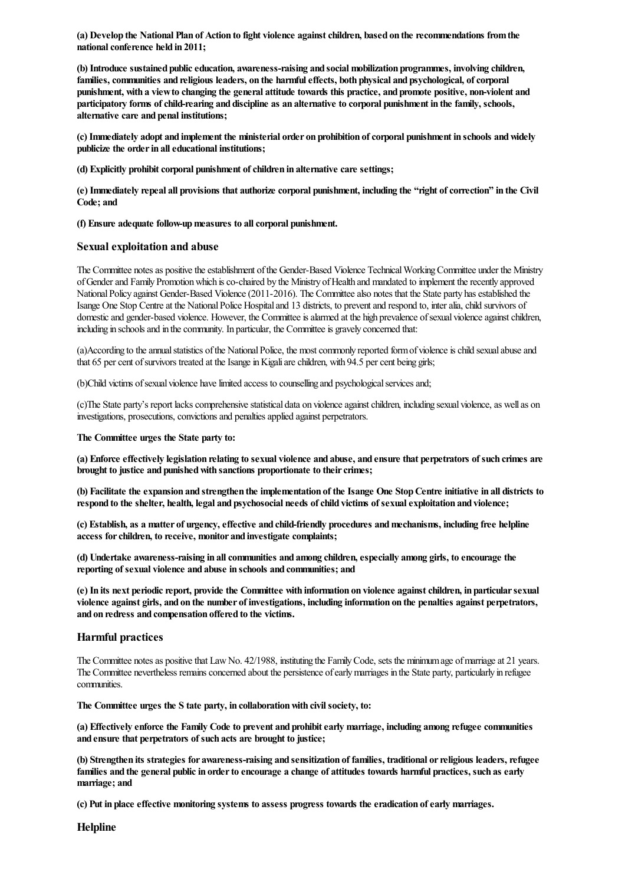**(a) Develop the National Plan of Action to fight violence againstchildren, based on the recommendations fromthe nationalconference held in 2011;**

**(b) Introduce sustained publiceducation, awareness-raising and social mobilization programmes, involving children, families,communities and religious leaders, on the harmfuleffects, both physical and psychological, ofcorporal** punishment, with a view to changing the general attitude towards this practice, and promote positive, non-violent and **participatory forms ofchild-rearing and discipline as an alternative to corporal punishment in the family, schools, alternative care and penal institutions;**

**(c) Immediately adopt and implement the ministerial order on prohibition ofcorporal punishment in schools andwidely publicize the orderin alleducational institutions;**

**(d) Explicitly prohibitcorporal punishment ofchildren in alternative care settings;**

(e) Immediately repeal all provisions that authorize corporal punishment, including the "right of correction" in the Civil **Code; and**

#### **(f) Ensure adequate follow-upmeasures to allcorporal punishment.**

#### **Sexual exploitation and abuse**

The Committee notes as positive the establishment of the Gender-Based Violence Technical Working Committee under the Ministry ofGenderand Family Promotionwhich isco-chaired by the Ministry ofHealth and mandated to implement therecently approved National Policy against Gender-Based Violence (2011-2016). The Committee also notes that the State party has established the Isange One Stop Centre at the National Police Hospital and 13 districts, to prevent and respond to, inter alia, child survivors of domestic and gender-based violence. However, the Committee is alarmed at the high prevalence of sexual violence against children, including in schools and in the community. In particular, the Committee is gravely concerned that:

(a)According to the annual statistics of the National Police, the most commonly reported form of violence is child sexual abuse and that 65 per cent of survivors treated at the Isange in Kigali are children, with 94.5 per cent being girls;

(b)Child victims of sexual violence have limited access to counselling and psychological services and;

(c)The State party's report lacks comprehensive statistical data on violence against children, including sexual violence, as well as on investigations, prosecutions, convictions and penalties applied against perpetrators.

#### **The Committee urges the State party to:**

(a) Enforce effectively legislation relating to sexual violence and abuse, and ensure that perpetrators of such crimes are **brought to justice and punishedwith sanctions proportionate to theircrimes;**

(b) Facilitate the expansion and strengthen the implementation of the Isange One Stop Centre initiative in all districts to **respond to the shelter, health, legal and psychosocial needs ofchild victims of sexualexploitation and violence;**

**(c) Establish, as a matter of urgency,effective and child-friendly procedures andmechanisms, including free helpline access forchildren, to receive, monitor and investigate complaints;**

**(d) Undertake awareness-raising in allcommunities and among children,especially among girls, to encourage the reporting of sexual violence and abuse in schools and communities; and**

**(e) In its next periodicreport, provide the Committee with information on violence againstchildren, in particularsexual** violence against girls, and on the number of investigations, including information on the penalties against perpetrators, **and on redress and compensation offered to the victims.**

#### **Harmful practices**

The Committee notes as positive that Law No. 42/1988, instituting the Family Code, sets the minimum age of marriage at 21 years. The Committee nevertheless remainsconcerned about the persistence ofearlymarriages in the State party, particularly in refugee communities.

**The Committee urges the S tate party, in collaborationwith civilsociety, to:**

**(a) Effectively enforce the Family Code to prevent and prohibitearly marriage, including among refugee communities and ensure that perpetrators of such acts are brought to justice;**

**(b) Strengthen its strategies for awareness-raising and sensitization of families, traditional orreligious leaders,refugee** families and the general public in order to encourage a change of attitudes towards harmful practices, such as early **marriage; and**

**(c) Put in place effective monitoring systems to assess progress towards the eradication ofearly marriages.**

**Helpline**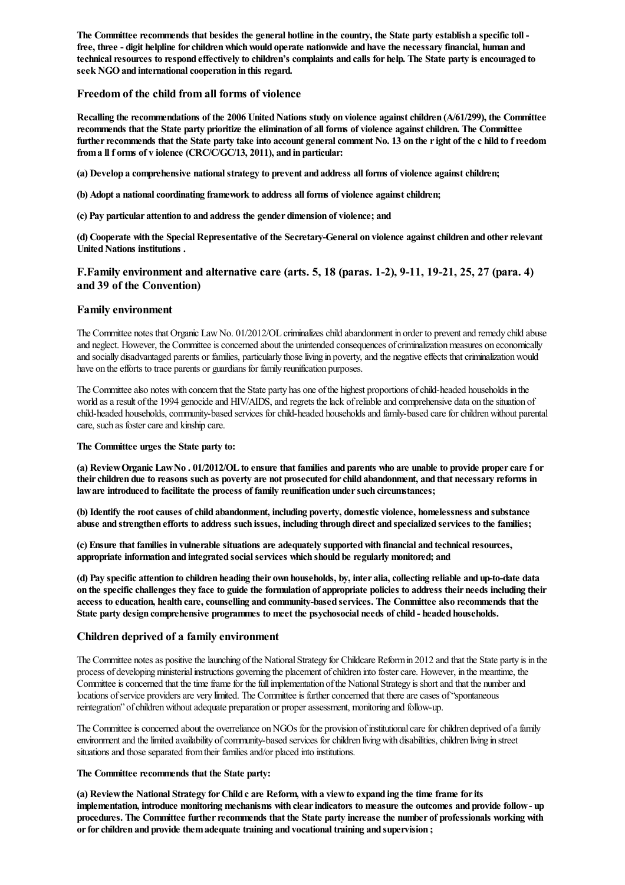The Committee recommends that besides the general hotline in the country, the State party establish a specific toll **free, three - digit helpline forchildrenwhichwould operate nationwide and have the necessary financial, human and** technical resources to respond effectively to children's complaints and calls for help. The State party is encouraged to **seek NGOand internationalcooperation in this regard.**

### **Freedom of the child from all forms of violence**

**Recalling the recommendations of the 2006 UnitedNations study on violence againstchildren (A/61/299), the Committee** recommends that the State party prioritize the elimination of all forms of violence against children. The Committee further recommends that the State party take into account general comment No. 13 on the right of the c hild to f reedom **froma ll f orms of v iolence (CRC/C/GC/13, 2011), and in particular:**

**(a) Develop a comprehensive nationalstrategy to prevent and address all forms of violence againstchildren;**

**(b) Adopt a nationalcoordinating framework to address all forms of violence againstchildren;**

**(c) Pay particular attention to and address the gender dimension of violence; and**

**(d) Cooperate with the Special Representative of the Secretary-General on violence againstchildren and otherrelevant UnitedNations institutions .**

## **F.Family environment and alternative care (arts. 5, 18 (paras. 1-2), 9-11, 19-21, 25, 27 (para. 4) and 39 of the Convention)**

#### **Family environment**

The Committee notes that Organic Law No. 01/2012/OL criminalizes child abandonment in order to prevent and remedy child abuse and neglect. However, the Committee is concerned about the unintended consequences of criminalization measures on economically and socially disadvantaged parents or families, particularly those living in poverty, and the negative effects that criminalization would have on the efforts to trace parents or guardians for family reunification purposes.

The Committee also notes with concern that the State party has one of the highest proportions of child-headed households in the world as a result of the 1994 genocide and HIV/AIDS, and regrets the lack of reliable and comprehensive data on the situation of child-headed households, community-based services for child-headed households and family-based care for children without parental care, such as foster care and kinship care.

**The Committee urges the State party to:**

(a) Review Organic Law No. 01/2012/OL to ensure that families and parents who are unable to provide proper care f or their children due to reasons such as poverty are not prosecuted for child abandonment, and that necessary reforms in **laware introduced to facilitate the process of family reunification undersuch circumstances;**

**(b) Identify the rootcauses ofchild abandonment, including poverty, domestic violence, homelessness and substance** abuse and strengthen efforts to address such issues, including through direct and specialized services to the families;

**(c) Ensure that families in vulnerable situations are adequately supportedwith financial and technicalresources, appropriate information and integrated socialservices which should be regularly monitored; and**

(d) Pay specific attention to children heading their own households, by, inter alia, collecting reliable and up-to-date data on the specific challenges they face to guide the formulation of appropriate policies to address their needs including their **access to education, health care,counselling and community-based services. The Committee also recommends that the State party design comprehensive programmes to meet the psychosocial needs ofchild - headed households.**

### **Children deprived of a family environment**

The Committee notes as positive the launching of the National Strategy for Childcare Reform in 2012 and that the State party is in the process of developing ministerial instructions governing the placement of children into foster care. However, in the meantime, the Committee is concerned that the time frame for the full implementation of the National Strategy is short and that the number and locations of service providers are very limited. The Committee is further concerned that there are cases of "spontaneous reintegration" of children without adequate preparation or proper assessment, monitoring and follow-up.

The Committee is concerned about the overreliance on NGOs for the provision of institutional care for children deprived of a family environment and the limited availability of community-based services for children living with disabilities, children living in street situations and those separated from their families and/or placed into institutions.

#### **The Committee recommends that the State party:**

**(a) Reviewthe National Strategy forChild c are Reform, with a viewto expand ing the time frame forits implementation, introduce monitoring mechanisms with clearindicators to measure the outcomes and provide follow- up procedures. The Committee furtherrecommends that the State party increase the number of professionals working with orforchildren and provide themadequate training and vocational training and supervision ;**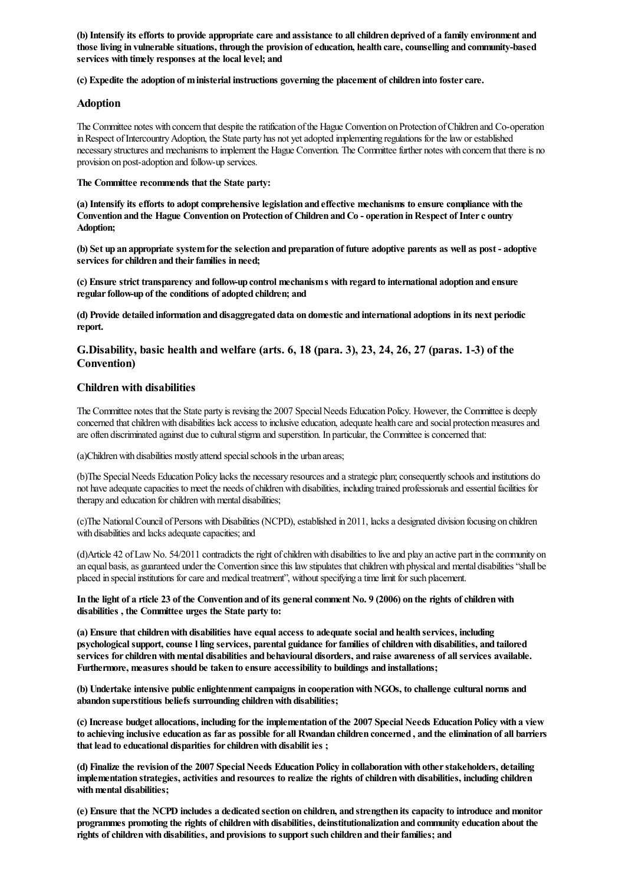(b) Intensify its efforts to provide appropriate care and assistance to all children deprived of a family environment and **those living in vulnerable situations, through the provision ofeducation, health care,counselling and community-based services with timely responses at the local level; and**

**(c) Expedite the adoption of ministerial instructions governing the placement ofchildren into fostercare.**

#### **Adoption**

The Committee notes with concern that despite the ratification of the Hague Convention on Protection of Children and Co-operation in Respect of Intercountry Adoption, the State party has not yet adopted implementing regulations for the law or established necessary structures and mechanisms to implement the Hague Convention. The Committee further notes with concern that there is no provision on post-adoption and follow-up services.

**The Committee recommends that the State party:**

**(a) Intensify its efforts to adoptcomprehensive legislation and effective mechanisms to ensure compliance with the Convention and the Hague Convention onProtection of Children andCo - operation inRespect of Interc ountry Adoption;**

(b) Set up an appropriate system for the selection and preparation of future adoptive parents as well as post-adoptive **services forchildren and theirfamilies in need;**

**(c) Ensure strict transparency and follow-up control mechanisms with regard to international adoption and ensure regularfollow-up of the conditions of adopted children; and**

(d) Provide detailed information and disaggregated data on domestic and international adoptions in its next periodic **report.**

## **G.Disability, basic health and welfare (arts. 6, 18 (para. 3), 23, 24, 26, 27 (paras. 1-3) of the Convention)**

#### **Children with disabilities**

The Committee notes that the State party is revising the 2007 Special Needs Education Policy. However, the Committee is deeply concerned that children with disabilities lack access to inclusive education, adequate health care and social protection measures and are often discriminated against due to cultural stigma and superstition. In particular, the Committee is concerned that:

(a)Children with disabilities mostly attend special schools in the urban areas;

(b)The Special Needs Education Policy lacks the necessary resources and a strategic plan; consequently schools and institutions do not have adequate capacities to meet the needs of children with disabilities, including trained professionals and essential facilities for therapy and education for children with mental disabilities;

(c)The National Council of Persons with Disabilities (NCPD), established in 2011, lacks a designated division focusing on children with disabilities and lacks adequate capacities; and

(d)Article 42 ofLawNo. 54/2011 contradicts theright ofchildrenwith disabilities to liveand play an active part in thecommunity on an equal basis, as guaranteed under the Convention since this law stipulates that children with physical and mental disabilities "shall be placed in special institutions for care and medical treatment", without specifying a time limit for such placement.

In the light of a rticle 23 of the Convention and of its general comment No. 9 (2006) on the rights of children with **disabilities , the Committee urges the State party to:**

**(a) Ensure thatchildrenwith disabilities have equal access to adequate social and health services, including psychologicalsupport,counse l ling services, parental guidance forfamilies ofchildrenwith disabilities, and tailored services forchildrenwithmental disabilities and behavioural disorders, and raise awareness of allservices available. Furthermore, measures should be taken to ensure accessibility to buildings and installations;**

**(b) Undertake intensive publicenlightenmentcampaigns in cooperationwithNGOs, to challenge cultural norms and abandon superstitious beliefs surrounding childrenwith disabilities;**

(c) Increase budget allocations, including for the implementation of the 2007 Special Needs Education Policy with a view to achieving inclusive education as far as possible for all Rwandan children concerned, and the elimination of all barriers **that lead to educational disparities forchildrenwith disabilit ies ;**

**(d) Finalize the revision of the 2007 Special Needs EducationPolicy in collaborationwith otherstakeholders, detailing implementation strategies, activities and resources to realize the rights ofchildrenwith disabilities, including children withmental disabilities;**

(e) Ensure that the NCPD includes a dedicated section on children, and strengthen its capacity to introduce and monitor **programmes promoting the rights ofchildrenwith disabilities, deinstitutionalization and community education about the rights ofchildrenwith disabilities, and provisions to support such children and theirfamilies; and**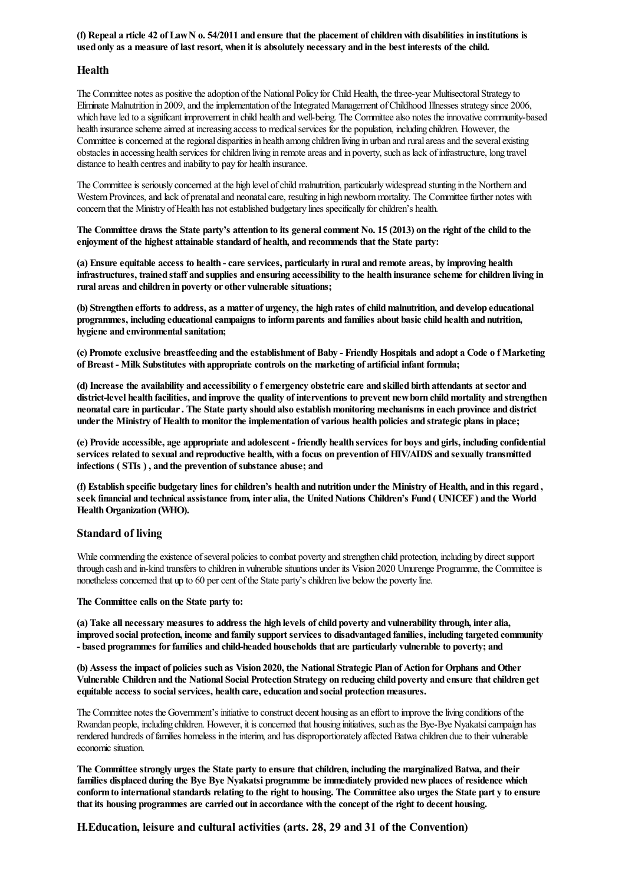(f) Repeal a rticle 42 of Law N  $o. 54/2011$  and ensure that the placement of children with disabilities in institutions is used only as a measure of last resort, when it is absolutely necessary and in the best interests of the child.

#### **Health**

The Committee notes as positive the adoption of the National Policy for Child Health, the three-year Multisectoral Strategy to Eliminate Malnutrition in 2009, and the implementation of the Integrated Management of Childhood Illnesses strategy since 2006, which have led to a significant improvement in child health and well-being. The Committee also notes the innovative community-based health insurance scheme aimed at increasing access to medical services for the population, including children. However, the Committee is concerned at the regional disparities in health among children living in urban and rural areas and the several existing obstacles in accessing health services forchildren living in remoteareasand in poverty, such as lack ofinfrastructure, long travel distance to health centres and inability to pay for health insurance.

The Committee is seriously concerned at the high level of child malnutrition, particularly widespread stunting in the Northern and Western Provinces, and lack of prenatal and neonatal care, resulting in high newborn mortality. The Committee further notes with concern that the Ministry of Health has not established budgetary lines specifically for children's health.

The Committee draws the State party's attention to its general comment No. 15 (2013) on the right of the child to the **enjoyment of the highest attainable standard of health, and recommends that the State party:**

(a) Ensure equitable access to health - care services, particularly in rural and remote areas, by improving health infrastructures, trained staff and supplies and ensuring accessibility to the health insurance scheme for children living in **rural areas and children in poverty or other vulnerable situations;**

(b) Strengthen efforts to address, as a matter of urgency, the high rates of child malnutrition, and develop educational **programmes, including educationalcampaigns to informparents and families about basicchild health and nutrition, hygiene and environmentalsanitation;**

(c) Promote exclusive breastfeeding and the establishment of Baby - Friendly Hospitals and adopt a Code of Marketing **of Breast - Milk Substitutes with appropriate controls on the marketing of artificial infant formula;**

(d) Increase the availability and accessibility of emergency obstetric care and skilled birth attendants at sector and district-level health facilities, and improve the quality of interventions to prevent new born child mortality and strengthen **neonatalcare in particular. The State party should also establishmonitoring mechanisms in each province and district** under the Ministry of Health to monitor the implementation of various health policies and strategic plans in place;

(e) Provide accessible, age appropriate and adolescent - friendly health services for boys and girls, including confidential services related to sexual and reproductive health, with a focus on prevention of HIV/AIDS and sexually transmitted **infections ( STIs ) , and the prevention of substance abuse; and**

(f) Establish specific budgetary lines for children's health and nutrition under the Ministry of Health, and in this regard, seek financial and technical assistance from, inter alia, the United Nations Children's Fund (UNICEF) and the World **Health Organization (WHO).** 

#### **Standard of living**

While commending the existence of several policies to combat poverty and strengthen child protection, including by direct support through cash and in-kind transfers to children in vulnerable situations under its Vision 2020 Umurenge Programme, the Committee is nonetheless concerned that up to 60 per cent of the State party's children live below the poverty line.

#### **The Committee calls on the State party to:**

(a) Take all necessary measures to address the high levels of child poverty and vulnerability through, inter alia, **improved social protection, income and family support services to disadvantaged families, including targeted community - based programmes forfamilies and child-headed households that are particularly vulnerable to poverty; and**

(b) Assess the impact of policies such as Vision 2020, the National Strategic Plan of Action for Orphans and Other Vulnerable Children and the National Social Protection Strategy on reducing child poverty and ensure that children get **equitable access to socialservices, health care,education and social protectionmeasures.**

The Committee notes the Government's initiative to construct decent housing as an effort to improve the living conditions of the Rwandan people, including children. However, it isconcerned that housing initiatives, such as the Bye-Bye Nyakatsicampaign has rendered hundreds of families homeless in the interim, and has disproportionately affected Batwa children due to their vulnerable economic situation.

**The Committee strongly urges the State party to ensure thatchildren, including the marginalizedBatwa, and their families displaced during the Bye Bye Nyakatsi programme be immediately provided newplaces ofresidence which** conform to international standards relating to the right to housing. The Committee also urges the State part y to ensure that its housing programmes are carried out in accordance with the concept of the right to decent housing.

**H.Education, leisure and cultural activities (arts. 28, 29 and 31 of the Convention)**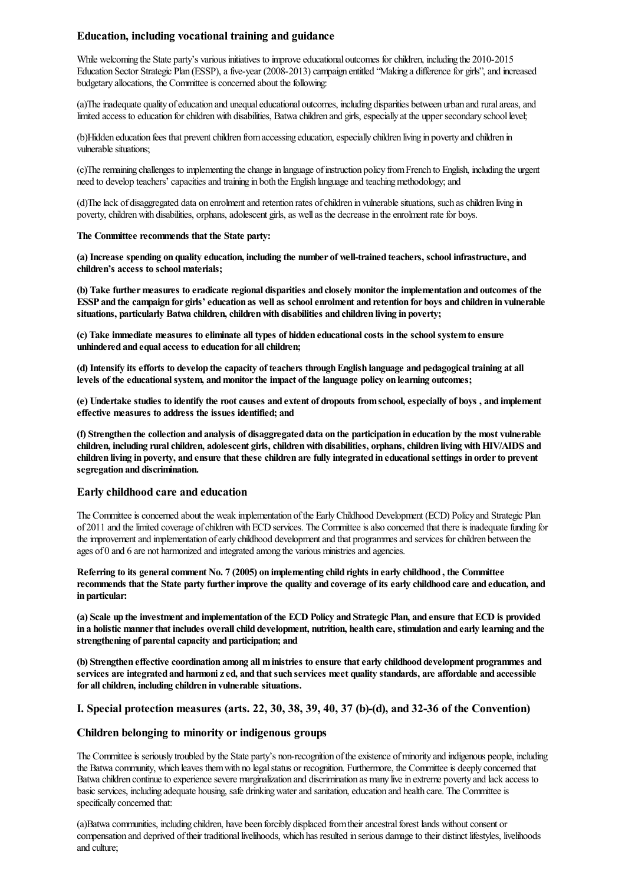## **Education, including vocational training and guidance**

While welcoming the State party's various initiatives to improve educational outcomes for children, including the 2010-2015 Education Sector Strategic Plan (ESSP), a five-year (2008-2013) campaign entitled "Making a difference for girls", and increased budgetary allocations, the Committee is concerned about the following:

(a)The inadequate quality of education and unequal educational outcomes, including disparities between urban and rural areas, and limited access to education for children with disabilities, Batwa children and girls, especially at the upper secondary school level;

(b)Hidden education fees that prevent children from accessing education, especially children living in poverty and children in vulnerable situations;

(c)Theremaining challenges to implementing thechangein language ofinstruction policy fromFrench to English, including the urgent need to develop teachers' capacities and training in both the English language and teaching methodology; and

(d)Thelack of disaggregated data on enrolmentand retention rates ofchildren in vulnerablesituations, such aschildren living in poverty, children with disabilities, orphans, adolescent girls, as well as the decrease in the enrolment rate for boys.

#### **The Committee recommends that the State party:**

**(a) Increase spending on quality education, including the number of well-trained teachers, school infrastructure, and children's access to school materials;**

**(b) Take furthermeasures to eradicate regional disparities and closely monitorthe implementation and outcomes of the** ESSP and the campaign for girls' education as well as school enrolment and retention for boys and children in vulnerable **situations, particularly Batwa children,childrenwith disabilities and children living in poverty;**

**(c) Take immediate measures to eliminate all types of hidden educationalcosts in the schoolsystemto ensure unhindered and equal access to education for allchildren;**

(d) Intensify its efforts to develop the capacity of teachers through English language and pedagogical training at all **levels of the educationalsystem, andmonitorthe impact of the language policy on learning outcomes;**

(e) Undertake studies to identify the root causes and extent of dropouts from school, especially of boys, and implement **effective measures to address the issues identified; and**

(f) Strengthen the collection and analysis of disaggregated data on the participation in education by the most vulnerable **children, including ruralchildren, adolescent girls,childrenwith disabilities, orphans,children living withHIV/AIDS and** children living in poverty, and ensure that these children are fully integrated in educational settings in order to prevent **segregation and discrimination.**

#### **Early childhood care and education**

The Committee is concerned about the weak implementation of the Early Childhood Development (ECD) Policy and Strategic Plan of 2011 and the limited coverage of children with ECD services. The Committee is also concerned that there is inadequate funding for the improvement and implementation of early childhood development and that programmes and services for children between the ages of 0 and 6 are not harmonized and integrated among the various ministries and agencies.

Referring to its general comment No. 7 (2005) on implementing child rights in early childhood, the Committee recommends that the State party further improve the quality and coverage of its early childhood care and education, and **in particular:**

(a) Scale up the investment and implementation of the ECD Policy and Strategic Plan, and ensure that ECD is provided in a holistic manner that includes overall child development, nutrition, health care, stimulation and early learning and the **strengthening of parentalcapacity and participation; and**

**(b) Strengthen effective coordination among all ministries to ensure thatearly childhood development programmes and** services are integrated and harmoni z ed, and that such services meet quality standards, are affordable and accessible **for allchildren, including children in vulnerable situations.**

## **I. Special protection measures (arts. 22, 30, 38, 39, 40, 37 (b)-(d), and 32-36 of the Convention)**

#### **Children belonging to minority orindigenous groups**

The Committee is seriously troubled by the State party's non-recognition of the existence of minority and indigenous people, including the Batwa community, which leaves them with no legal status or recognition. Furthermore, the Committee is deeply concerned that Batwa children continue to experience severe marginalization and discrimination as many live in extreme poverty and lack access to basic services, including adequate housing, safe drinking water and sanitation, education and health care. The Committee is specifically concerned that:

(a)Batwa communities, including children, have been forcibly displaced from their ancestral forest lands without consent or compensation and deprived oftheir traditionallivelihoods, which has resulted in serious damageto their distinct lifestyles, livelihoods and culture;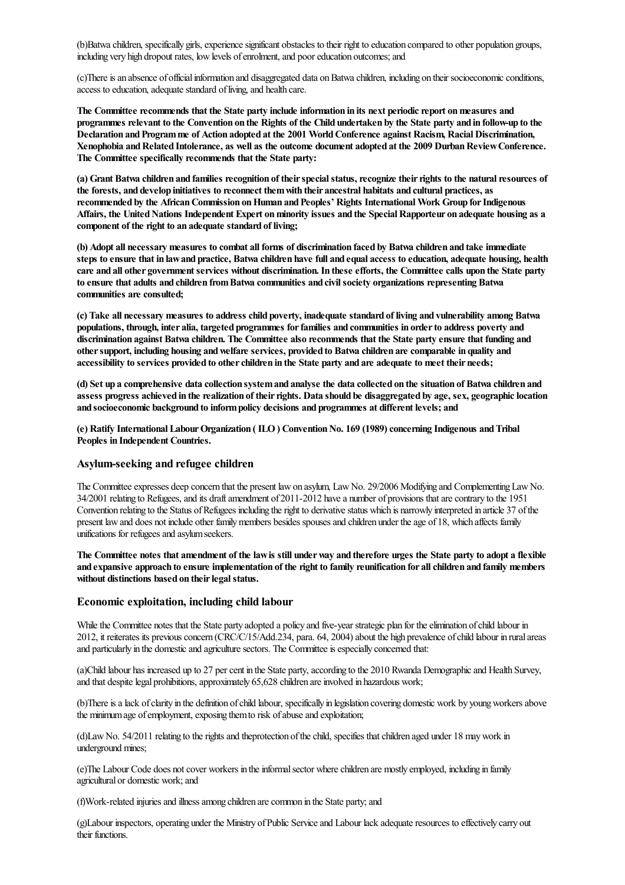(b)Batwa children, specifically girls, experience significant obstacles to their right to education compared to other population groups, including very high dropout rates, low levels of enrolment, and poor education outcomes; and

(c)Thereisan absence of officialinformation and disaggregated data onBatwachildren, including on their socioeconomicconditions, access to education, adequate standard of living, and health care.

**The Committee recommends that the State party include information in its next periodicreport onmeasures and** programmes relevant to the Convention on the Rights of the Child undertaken by the State party and in follow-up to the **Declaration andProgramme of Action adopted at the 2001 WorldConference against Racism, Racial Discrimination, Xenophobia andRelated Intolerance, as well as the outcome document adopted at the 2009 DurbanReviewConference. The Committee specifically recommends that the State party:**

**(a) Grant Batwa children and families recognition of theirspecialstatus,recognize theirrights to the naturalresources of the forests, and develop initiatives to reconnect themwith their ancestral habitats and cultural practices, as recommended by the AfricanCommission onHuman andPeoples' Rights International Work Group forIndigenous** Affairs, the United Nations Independent Expert on minority issues and the Special Rapporteur on adequate housing as a **component of the right to an adequate standard of living;**

(b) Adopt all necessary measures to combat all forms of discrimination faced by Batwa children and take immediate steps to ensure that in law and practice, Batwa children have full and equal access to education, adequate housing, health care and all other government services without discrimination. In these efforts, the Committee calls upon the State party **to ensure that adults and children fromBatwa communities and civilsociety organizations representing Batwa communities are consulted;**

(c) Take all necessary measures to address child poverty, inadequate standard of living and vulnerability among Batwa **populations, through, inter alia, targeted programmes forfamilies and communities in orderto address poverty and** discrimination against Batwa children. The Committee also recommends that the State party ensure that funding and **othersupport, including housing andwelfare services, provided to Batwa children are comparable in quality and** accessibility to services provided to other children in the State party and are adequate to meet their needs;

(d) Set up a comprehensive data collection system and analyse the data collected on the situation of Batwa children and assess progress achieved in the realization of their rights. Data should be disaggregated by age, sex, geographic location **and socioeconomic background to informpolicy decisions and programmes at different levels; and**

**(e) Ratify International LabourOrganization ( ILO) ConventionNo. 169 (1989)concerning Indigenous andTribal Peoples in Independent Countries.**

#### **Asylum-seeking and refugee children**

The Committee expresses deep concern that the present law on asylum, Law No. 29/2006 Modifying and Complementing Law No. 34/2001 relating to Refugees,and its draftamendment of 2011-2012 havea number of provisions thatarecontrary to the 1951 Convention relating to the Status of Refugees including the right to derivative status which is narrowly interpreted in article 37 of the present lawand does not include other familymembers besides spousesand children under theage of 18, which affects family unifications for refugees and asylum seekers.

The Committee notes that amendment of the law is still under way and therefore urges the State party to adopt a flexible and expansive approach to ensure implementation of the right to family reunification for all children and family members **without distinctions based on theirlegalstatus.**

#### **Economic exploitation, including child labour**

While the Committee notes that the State party adopted a policy and five-year strategic plan for the elimination of child labour in 2012, it reiterates its previous concern (CRC/C/15/Add.234, para. 64, 2004) about the high prevalence of child labour in rural areas and particularly in the domestic and agriculture sectors. The Committee is especially concerned that:

(a)Child labour has increased up to 27 per cent in the State party, according to the 2010 Rwanda Demographic and Health Survey, and that despite legal prohibitions, approximately 65,628 children are involved in hazardous work;

(b)There is a lack of clarity in the definition of child labour, specifically in legislation covering domestic work by young workers above the minimum age of employment, exposing them to risk of abuse and exploitation;

(d)LawNo. 54/2011 relating to therightsand theprotection ofthechild, specifies thatchildren aged under 18 maywork in underground mines;

(e)The Labour Code does not cover workers in the informal sector where children are mostly employed, including in family agricultural or domestic work; and

(f)Work-related injuries and illness among children are common in the State party; and

(g)Labour inspectors, operating under the Ministry ofPublic Serviceand Labour lack adequateresources to effectively carry out their functions.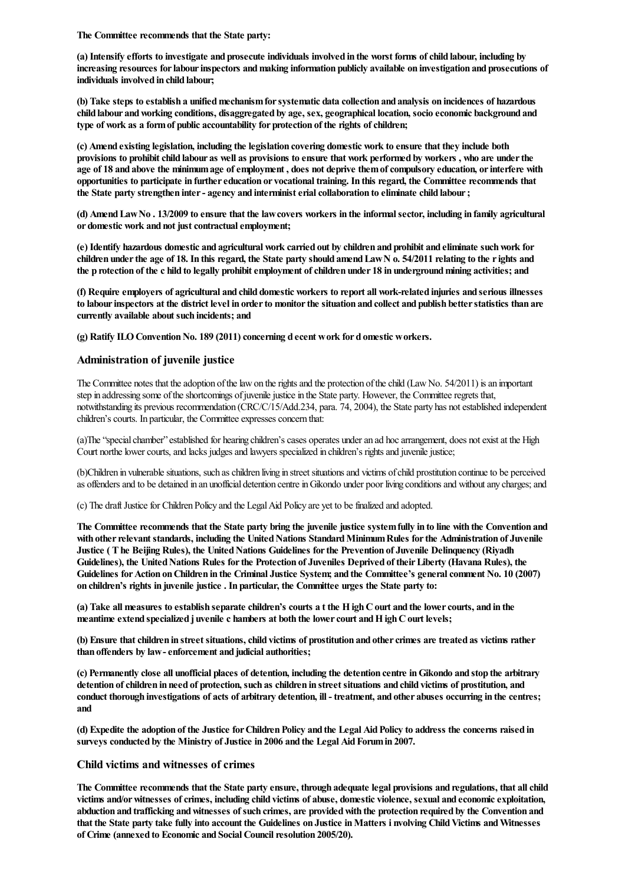**The Committee recommends that the State party:**

(a) Intensify efforts to investigate and prosecute individuals involved in the worst forms of child labour, including by **increasing resources forlabourinspectors andmaking information publicly available on investigation and prosecutions of individuals involved in child labour;**

**(b) Take steps to establish a unifiedmechanismforsystematic data collection and analysis on incidences of hazardous child labour andworking conditions, disaggregated by age, sex, geographical location, socio economic background and type of work as a formof public accountability for protection of the rights ofchildren;**

(c) Amend existing legislation, including the legislation covering domestic work to ensure that they include both provisions to prohibit child labour as well as provisions to ensure that work performed by workers, who are under the **age of 18 and above the minimumage ofemployment , does not deprive themofcompulsory education, orinterfere with opportunities to participate in furthereducation or vocational training. In this regard, the Committee recommends that the State party strengthen inter- agency and interministerialcollaboration to eliminate child labour;**

(d) Amend Law No. 13/2009 to ensure that the law covers workers in the informal sector, including in family agricultural **or domestic work and not justcontractualemployment;**

(e) Identify hazardous domestic and agricultural work carried out by children and prohibit and eliminate such work for children under the age of 18. In this regard, the State party should amend Law N o. 54/2011 relating to the rights and the p rotection of the c hild to legally prohibit employment of children under 18 in underground mining activities; and

(f) Require employers of agricultural and child domestic workers to report all work-related injuries and serious illnesses to labour inspectors at the district level in order to monitor the situation and collect and publish better statistics than are **currently available about such incidents; and**

**(g) Ratify ILOConventionNo. 189 (2011)concerning d ecent work for d omestic workers.**

#### **Administration of juvenile justice**

The Committee notes that the adoption of the law on the rights and the protection of the child (Law No.  $54/2011$ ) is an important step in addressing some of the shortcomings of juvenile justice in the State party. However, the Committee regrets that, notwithstanding its previous recommendation (CRC/C/15/Add.234, para. 74, 2004), the State party has notestablished independent children's courts. In particular, the Committee expresses concern that:

(a)The"specialchamber"established for hearing children'scases operates underan ad hocarrangement, does notexistat the High Court northe lower courts, and lacks judges and lawyers specialized in children's rights and juvenile justice;

(b)Children in vulnerable situations, such as children living in street situations and victims of child prostitution continue to be perceived as offenders and to be detained in an unofficial detention centre in Gikondo under poor living conditions and without any charges; and

(c) The draft Justice for Children Policy and the Legal Aid Policy are yet to be finalized and adopted.

The Committee recommends that the State party bring the juvenile justice system fully in to line with the Convention and **with otherrelevant standards, including the UnitedNations StandardMinimumRules forthe Administration of Juvenile Justice ( The Beijing Rules), the UnitedNations Guidelines forthe Prevention of Juvenile Delinquency (Riyadh Guidelines), the UnitedNations Rules forthe Protection of Juveniles Deprived of theirLiberty (Havana Rules), the Guidelines forAction onChildren in the Criminal Justice System; and the Committee's generalcomment No. 10 (2007) on children's rights in juvenile justice . In particular, the Committee urges the State party to:**

(a) Take all measures to establish separate children's courts a t the H igh C ourt and the lower courts, and in the **meantime extend specialized juvenile c hambers at both the lowercourt andHighCourt levels;**

(b) Ensure that children in street situations, child victims of prostitution and other crimes are treated as victims rather **than offenders by law-enforcement and judicial authorities;**

(c) Permanently close all unofficial places of detention, including the detention centre in Gikondo and stop the arbitrary detention of children in need of protection, such as children in street situations and child victims of prostitution, and conduct thorough investigations of acts of arbitrary detention, ill - treatment, and other abuses occurring in the centres; **and**

(d) Expedite the adoption of the Justice for Children Policy and the Legal Aid Policy to address the concerns raised in **surveys conducted by the Ministry of Justice in 2006 and the Legal AidForumin 2007.**

#### **Child victims and witnesses of crimes**

The Committee recommends that the State party ensure, through adequate legal provisions and regulations, that all child **victims and/orwitnesses ofcrimes, including child victims of abuse, domestic violence, sexual and economicexploitation,** abduction and trafficking and witnesses of such crimes, are provided with the protection required by the Convention and that the State party take fully into account the Guidelines on Justice in Matters i nyolving Child Victims and Witnesses **of Crime (annexed to Economic and Social Councilresolution 2005/20).**